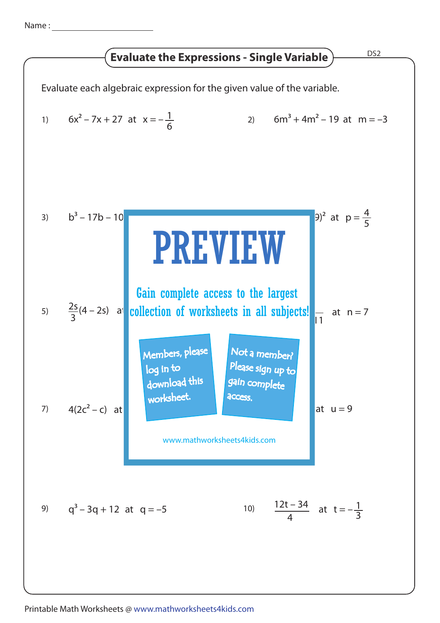